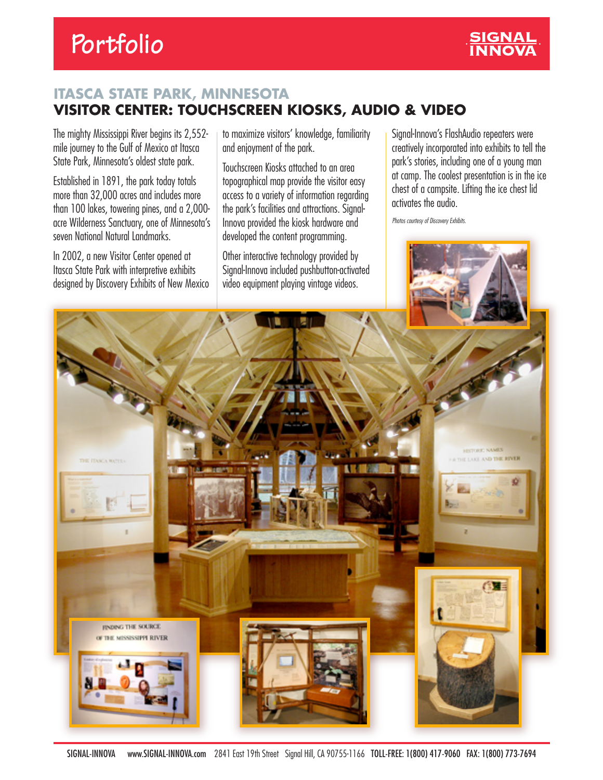## **Portfolio**



## **ITASCA STATE PARK, MINNESOTA VISITOR CENTER: TOUCHSCREEN KIOSKS, AUDIO & VIDEO**

The mighty Mississippi River begins its 2,552 mile journey to the Gulf of Mexico at Itasca State Park, Minnesota's oldest state park.

Established in 1891, the park today totals more than 32,000 acres and includes more than 100 lakes, towering pines, and a 2,000 acre Wilderness Sanctuary, one of Minnesota's seven National Natural Landmarks.

In 2002, a new Visitor Center opened at Itasca State Park with interpretive exhibits designed by Discovery Exhibits of New Mexico to maximize visitors' knowledge, familiarity and enjoyment of the park.

Touchscreen Kiosks attached to an area topographical map provide the visitor easy access to a variety of information regarding the park's facilities and attractions. Signal-Innova provided the kiosk hardware and developed the content programming.

Other interactive technology provided by Signal-Innova included pushbutton-activated video equipment playing vintage videos.

Signal-Innova's FlashAudio repeaters were creatively incorporated into exhibits to tell the park's stories, including one of a young man at camp. The coolest presentation is in the ice chest of a campsite. Lifting the ice chest lid activates the audio.

*Photos courtesy of Discovery Exhibits.*